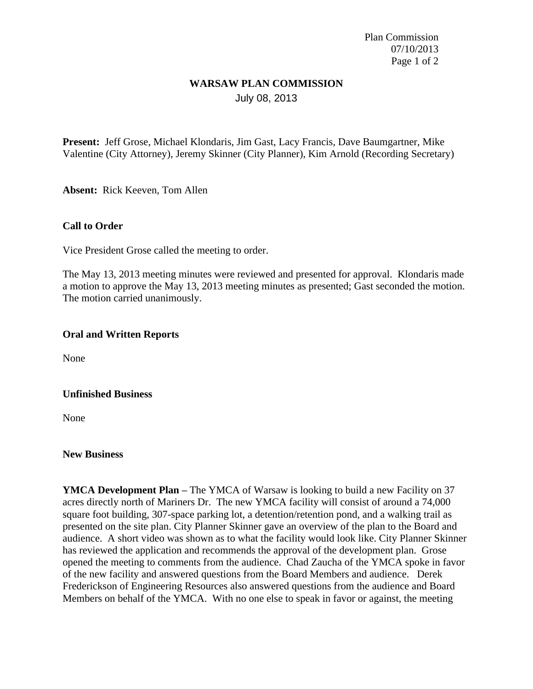Plan Commission 07/10/2013 Page 1 of 2

### **WARSAW PLAN COMMISSION** July 08, 2013

**Present:** Jeff Grose, Michael Klondaris, Jim Gast, Lacy Francis, Dave Baumgartner, Mike Valentine (City Attorney), Jeremy Skinner (City Planner), Kim Arnold (Recording Secretary)

**Absent:** Rick Keeven, Tom Allen

### **Call to Order**

Vice President Grose called the meeting to order.

The May 13, 2013 meeting minutes were reviewed and presented for approval. Klondaris made a motion to approve the May 13, 2013 meeting minutes as presented; Gast seconded the motion. The motion carried unanimously.

### **Oral and Written Reports**

None

### **Unfinished Business**

None

#### **New Business**

**YMCA Development Plan – The YMCA** of Warsaw is looking to build a new Facility on 37 acres directly north of Mariners Dr. The new YMCA facility will consist of around a 74,000 square foot building, 307-space parking lot, a detention/retention pond, and a walking trail as presented on the site plan. City Planner Skinner gave an overview of the plan to the Board and audience. A short video was shown as to what the facility would look like. City Planner Skinner has reviewed the application and recommends the approval of the development plan. Grose opened the meeting to comments from the audience. Chad Zaucha of the YMCA spoke in favor of the new facility and answered questions from the Board Members and audience. Derek Frederickson of Engineering Resources also answered questions from the audience and Board Members on behalf of the YMCA. With no one else to speak in favor or against, the meeting